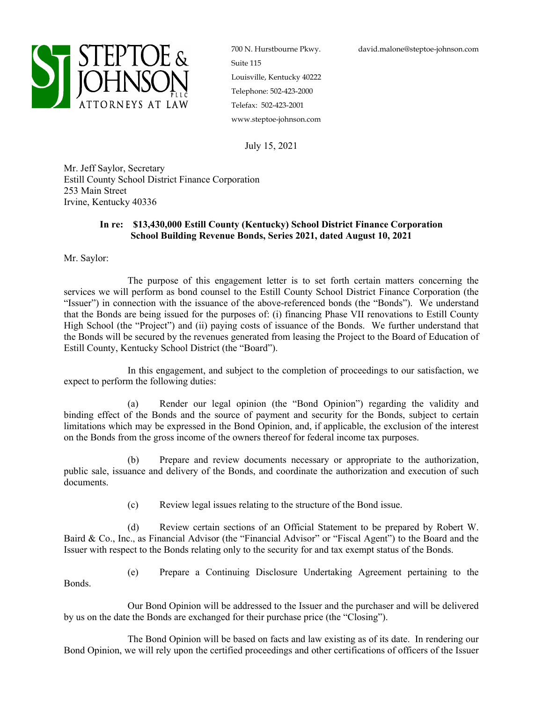

700 N. Hurstbourne Pkwy. Suite 115 Louisville, Kentucky 40222 Telephone: 502-423-2000 Telefax: 502-423-2001 www.steptoe-johnson.com

July 15, 2021

Mr. Jeff Saylor, Secretary Estill County School District Finance Corporation 253 Main Street Irvine, Kentucky 40336

## **In re: \$13,430,000 Estill County (Kentucky) School District Finance Corporation School Building Revenue Bonds, Series 2021, dated August 10, 2021**

Mr. Saylor:

The purpose of this engagement letter is to set forth certain matters concerning the services we will perform as bond counsel to the Estill County School District Finance Corporation (the "Issuer") in connection with the issuance of the above-referenced bonds (the "Bonds"). We understand that the Bonds are being issued for the purposes of: (i) financing Phase VII renovations to Estill County High School (the "Project") and (ii) paying costs of issuance of the Bonds. We further understand that the Bonds will be secured by the revenues generated from leasing the Project to the Board of Education of Estill County, Kentucky School District (the "Board").

In this engagement, and subject to the completion of proceedings to our satisfaction, we expect to perform the following duties:

(a) Render our legal opinion (the "Bond Opinion") regarding the validity and binding effect of the Bonds and the source of payment and security for the Bonds, subject to certain limitations which may be expressed in the Bond Opinion, and, if applicable, the exclusion of the interest on the Bonds from the gross income of the owners thereof for federal income tax purposes.

(b) Prepare and review documents necessary or appropriate to the authorization, public sale, issuance and delivery of the Bonds, and coordinate the authorization and execution of such documents.

(c) Review legal issues relating to the structure of the Bond issue.

(d) Review certain sections of an Official Statement to be prepared by Robert W. Baird & Co., Inc., as Financial Advisor (the "Financial Advisor" or "Fiscal Agent") to the Board and the Issuer with respect to the Bonds relating only to the security for and tax exempt status of the Bonds.

Bonds.

(e) Prepare a Continuing Disclosure Undertaking Agreement pertaining to the

Our Bond Opinion will be addressed to the Issuer and the purchaser and will be delivered by us on the date the Bonds are exchanged for their purchase price (the "Closing").

The Bond Opinion will be based on facts and law existing as of its date. In rendering our Bond Opinion, we will rely upon the certified proceedings and other certifications of officers of the Issuer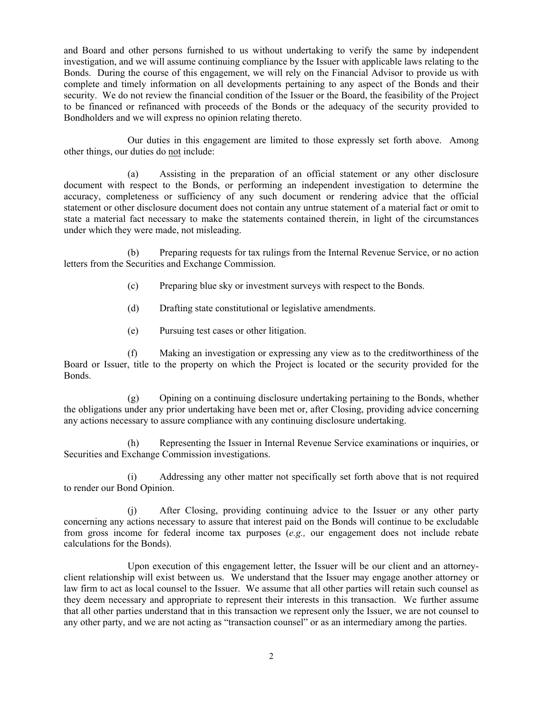and Board and other persons furnished to us without undertaking to verify the same by independent investigation, and we will assume continuing compliance by the Issuer with applicable laws relating to the Bonds. During the course of this engagement, we will rely on the Financial Advisor to provide us with complete and timely information on all developments pertaining to any aspect of the Bonds and their security. We do not review the financial condition of the Issuer or the Board, the feasibility of the Project to be financed or refinanced with proceeds of the Bonds or the adequacy of the security provided to Bondholders and we will express no opinion relating thereto.

Our duties in this engagement are limited to those expressly set forth above. Among other things, our duties do not include:

(a) Assisting in the preparation of an official statement or any other disclosure document with respect to the Bonds, or performing an independent investigation to determine the accuracy, completeness or sufficiency of any such document or rendering advice that the official statement or other disclosure document does not contain any untrue statement of a material fact or omit to state a material fact necessary to make the statements contained therein, in light of the circumstances under which they were made, not misleading.

(b) Preparing requests for tax rulings from the Internal Revenue Service, or no action letters from the Securities and Exchange Commission.

- (c) Preparing blue sky or investment surveys with respect to the Bonds.
- (d) Drafting state constitutional or legislative amendments.
- (e) Pursuing test cases or other litigation.

(f) Making an investigation or expressing any view as to the creditworthiness of the Board or Issuer, title to the property on which the Project is located or the security provided for the Bonds.

(g) Opining on a continuing disclosure undertaking pertaining to the Bonds, whether the obligations under any prior undertaking have been met or, after Closing, providing advice concerning any actions necessary to assure compliance with any continuing disclosure undertaking.

(h) Representing the Issuer in Internal Revenue Service examinations or inquiries, or Securities and Exchange Commission investigations.

(i) Addressing any other matter not specifically set forth above that is not required to render our Bond Opinion.

(j) After Closing, providing continuing advice to the Issuer or any other party concerning any actions necessary to assure that interest paid on the Bonds will continue to be excludable from gross income for federal income tax purposes (*e.g.,* our engagement does not include rebate calculations for the Bonds).

Upon execution of this engagement letter, the Issuer will be our client and an attorneyclient relationship will exist between us. We understand that the Issuer may engage another attorney or law firm to act as local counsel to the Issuer. We assume that all other parties will retain such counsel as they deem necessary and appropriate to represent their interests in this transaction. We further assume that all other parties understand that in this transaction we represent only the Issuer, we are not counsel to any other party, and we are not acting as "transaction counsel" or as an intermediary among the parties.